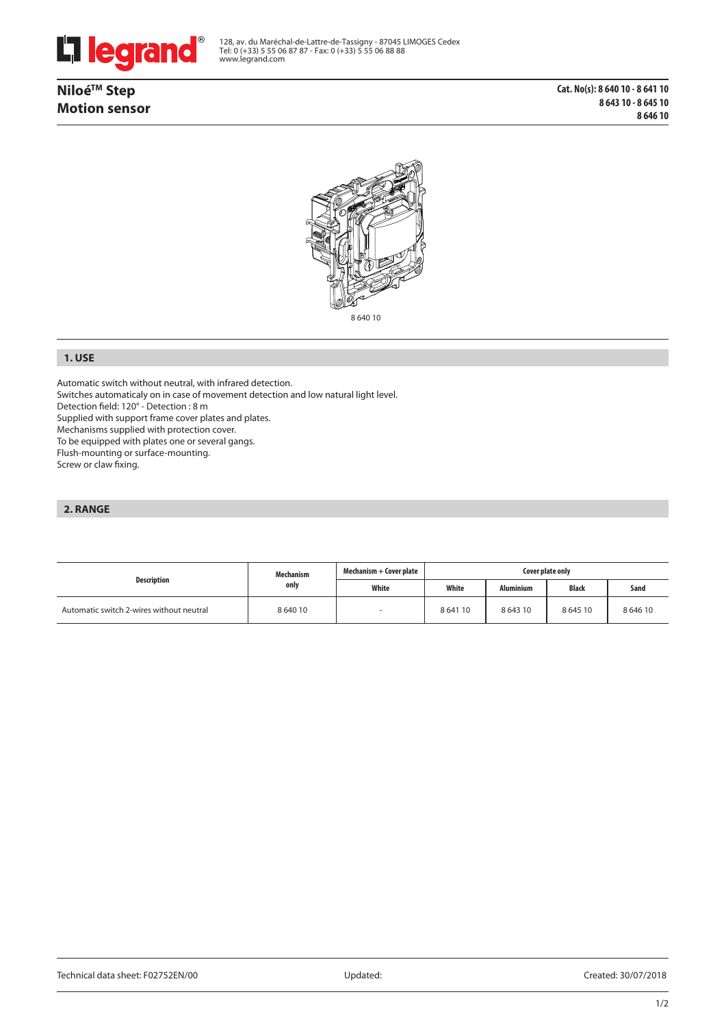

**NiloéTM Step Motion sensor**



8 640 10

## **1. USE**

Automatic switch without neutral, with infrared detection.

Switches automaticaly on in case of movement detection and low natural light level.

Detection field: 120° - Detection : 8 m

Supplied with support frame cover plates and plates.

Mechanisms supplied with protection cover.

To be equipped with plates one or several gangs.

Flush-mounting or surface-mounting.

Screw or claw fixing.

# **2. RANGE**

| Description                              | Mechanism<br>only | Mechanism + Cover plate | Cover plate only |             |              |            |
|------------------------------------------|-------------------|-------------------------|------------------|-------------|--------------|------------|
|                                          |                   | White                   | White            | Aluminium   | <b>Black</b> | Sand       |
| Automatic switch 2-wires without neutral | 8 640 10          |                         | 864110           | 8 6 4 3 1 0 | 864510       | 8 6 4 6 10 |